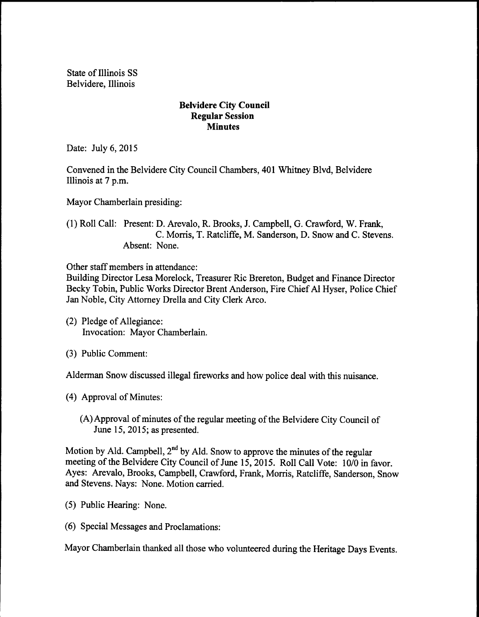State of Illinois SS Belvidere, Illinois

## Belvidere City Council Regular Session **Minutes**

Date: July 6, 2015

Convened in the Belvidere City Council Chambers, 401 Whitney Blvd, Belvidere Illinois at 7 p.m.

Mayor Chamberlain presiding:

1) Roll Call: Present: D. Arevalo, R. Brooks, J. Campbell, G. Crawford, W. Frank, C. Morris, T. Ratcliffe, M. Sanderson, D. Snow and C. Stevens. Absent: None.

Other staff members in attendance:

Building Director Lesa Morelock, Treasurer Ric Brereton, Budget and Finance Director Becky Tobin, Public Works Director Brent Anderson, Fire Chief Al Hyser, Police Chief Jan Noble, City Attorney Drella and City Clerk Arco.

- (2) Pledge of Allegiance: Invocation: Mayor Chamberlain.
- 3) Public Comment:

Alderman Snow discussed illegal fireworks and how police deal with this nuisance.

4) Approval of Minutes:

A)Approval of minutes of the regular meeting ofthe Belvidere City Council of June 15, 2015; as presented.

Motion by Ald. Campbell, 2<sup>nd</sup> by Ald. Snow to approve the minutes of the regular meeting of the Belvidere City Council of June 15, 2015. Roll Call Vote: 10/0 in favor. Ayes: Arevalo, Brooks, Campbell, Crawford, Frank, Morris, Ratcliffe, Sanderson, Snow and Stevens. Nays: None. Motion carried.

- 5) Public Hearing: None.
- 6) Special Messages and Proclamations:

Mayor Chamberlain thanked all those who volunteered during the Heritage Days Events.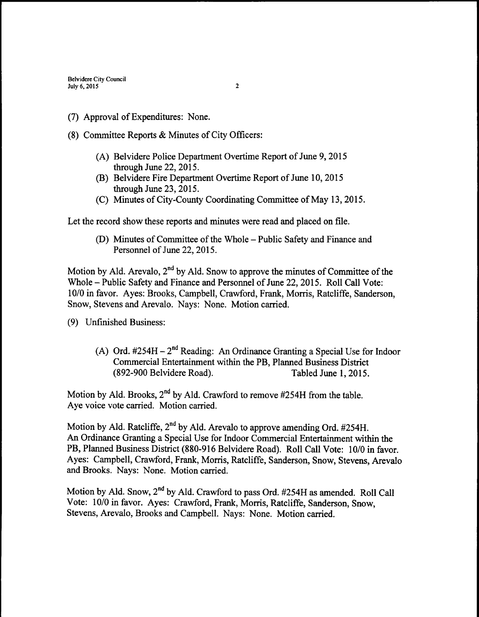- (7) Approval of Expenditures: None.
- 8) Committee Reports & Minutes of City Officers:
	- A) Belvidere Police Department Overtime Report of June 9, 2015 through June 22, 2015.
	- B) Belvidere Fire Department Overtime Report of June 10, 2015 through June 23, 2015.
	- C) Minutes of City-County Coordinating Committee of May 13, 2015.

Let the record show these reports and minutes were read and placed on file.

(D) Minutes of Committee of the Whole – Public Safety and Finance and Personnel of June 22, 2015.

Motion by Ald. Arevalo,  $2<sup>nd</sup>$  by Ald. Snow to approve the minutes of Committee of the Whole—Public Safety and Finance and Personnel of June 22, 2015. Roll Call Vote: 10/0 in favor. Ayes: Brooks, Campbell, Crawford, Frank, Morris, Ratcliffe, Sanderson, Snow, Stevens and Arevalo. Nays: None. Motion carried.

- 9) Unfinished Business:
	- A) Ord. #254H 2<sup>nd</sup> Reading: An Ordinance Granting a Special Use for Indoor Commercial Entertainment within the PB, Planned Business District 892- 900 Belvidere Road). Tabled June 1, 2015.

Motion by Ald. Brooks, 2<sup>nd</sup> by Ald. Crawford to remove #254H from the table. Aye voice vote carried. Motion carried.

Motion by Ald. Ratcliffe, 2<sup>nd</sup> by Ald. Arevalo to approve amending Ord. #254H. An Ordinance Granting a Special Use for Indoor Commercial Entertainment within the PB, Planned Business District (880-916 Belvidere Road). Roll Call Vote: 10/0 in favor. Ayes: Campbell, Crawford, Frank, Morris, Ratcliffe, Sanderson, Snow, Stevens, Arevalo and Brooks. Nays: None. Motion carried.

Motion by Ald. Snow, 2<sup>nd</sup> by Ald. Crawford to pass Ord. #254H as amended. Roll Call Vote: 10/0 in favor. Ayes: Crawford, Frank, Morris, Ratcliffe, Sanderson, Snow. Stevens, Arevalo, Brooks and Campbell. Nays: None. Motion carried.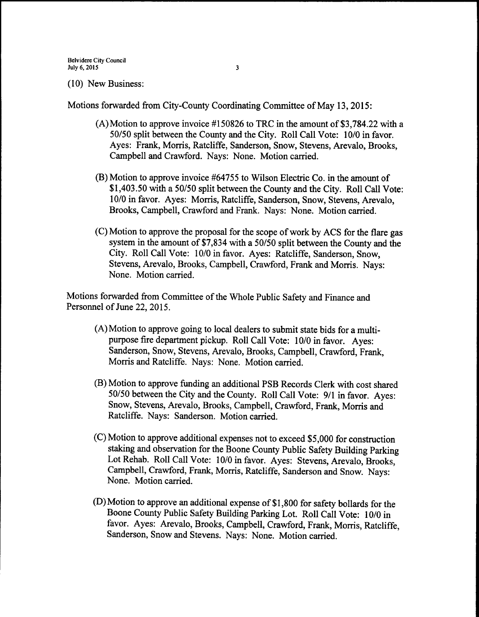10) New Business:

Motions forwarded from City-County Coordinating Committee of May 13, 2015:

- (A) Motion to approve invoice  $#150826$  to TRC in the amount of \$3,784.22 with a 50/50 split between the County and the City. Roll Call Vote: 10/0 in favor. Ayes: Frank, Morris, Ratcliffe, Sanderson, Snow, Stevens, Arevalo, Brooks, Campbell and Crawford. Nays: None. Motion carried.
- $(B)$  Motion to approve invoice #64755 to Wilson Electric Co. in the amount of \$1,403.50 with a 50/50 split between the County and the City. Roll Call Vote: 10/0 in favor. Ayes: Morris, Ratcliffe, Sanderson, Snow, Stevens, Arevalo, Brooks, Campbell, Crawford and Frank. Nays: None. Motion carried.
- (C) Motion to approve the proposal for the scope of work by ACS for the flare gas system in the amount of \$7,834 with a 50/50 split between the County and the City. Roll Call Vote: 10/0 in favor. Ayes: Ratcliffe, Sanderson, Snow, Stevens, Arevalo, Brooks, Campbell, Crawford, Frank and Morris. Nays: None. Motion carried.

Motions forwarded from Committee of the Whole Public Safety and Finance and Personnel of June 22, 2015.

- A) Motion to approve going to local dealers to submit state bids for a multipurpose fire department pickup. Roll Call Vote: 10/0 in favor. Ayes: Sanderson, Snow, Stevens, Arevalo, Brooks, Campbell, Crawford, Frank, Morris and Ratcliffe. Nays: None. Motion carried.
- B) Motion to approve funding an additional PSB Records Clerk with cost shared 50/50 between the City and the County. Roll Call Vote: 9/1 in favor. Ayes: Snow, Stevens, Arevalo, Brooks, Campbell, Crawford, Frank, Morris and Ratcliffe. Nays: Sanderson. Motion carried.
- (C) Motion to approve additional expenses not to exceed \$5,000 for construction staking and observation for the Boone County Public Safety Building Parking Lot Rehab. Roll Call Vote: 10/0 in favor. Ayes: Stevens, Arevalo, Brooks, Campbell, Crawford, Frank, Morris, Ratcliffe, Sanderson and Snow. Nays: None. Motion carried.
- D) Motion to approve an additional expense of\$1, 800 for safety bollards for the Boone County Public Safety Building Parking Lot. Roll Call Vote: 10/0 in favor. Ayes: Arevalo, Brooks, Campbell, Crawford, Frank, Morris, Ratcliffe, Sanderson, Snow and Stevens. Nays: None. Motion carried.